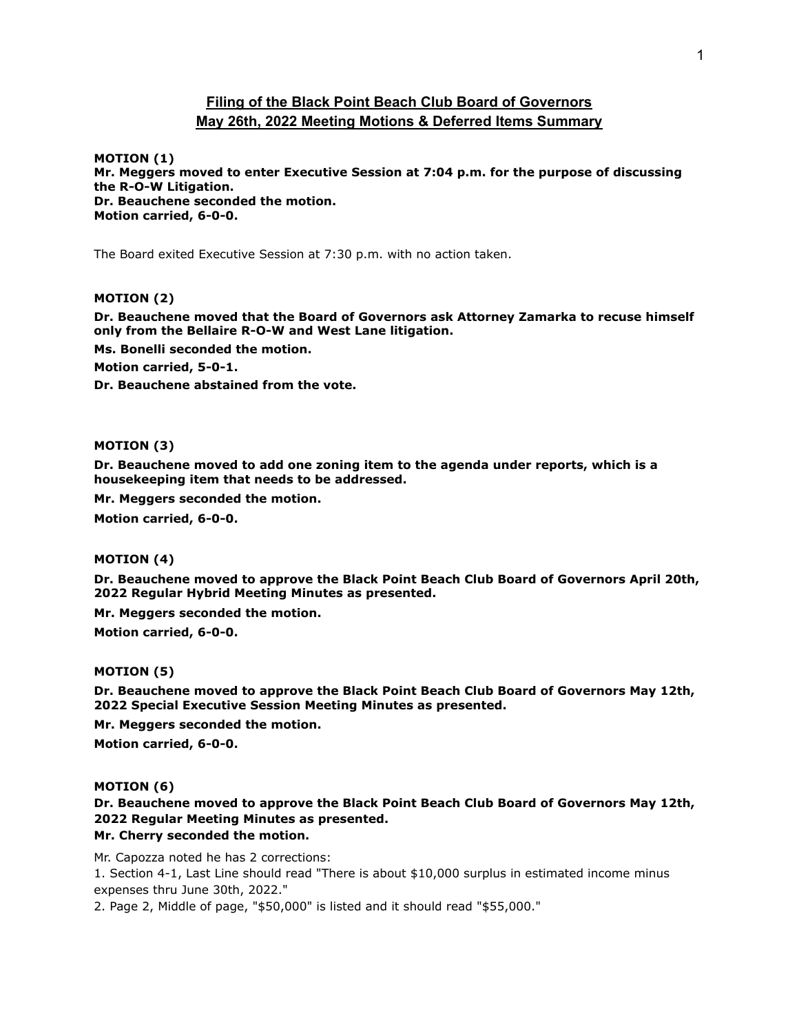## **Filing of the Black Point Beach Club Board of Governors May 26th, 2022 Meeting Motions & Deferred Items Summary**

**MOTION (1) Mr. Meggers moved to enter Executive Session at 7:04 p.m. for the purpose of discussing the R-O-W Litigation. Dr. Beauchene seconded the motion. Motion carried, 6-0-0.**

The Board exited Executive Session at 7:30 p.m. with no action taken.

### **MOTION (2)**

**Dr. Beauchene moved that the Board of Governors ask Attorney Zamarka to recuse himself only from the Bellaire R-O-W and West Lane litigation.**

**Ms. Bonelli seconded the motion.**

**Motion carried, 5-0-1.**

**Dr. Beauchene abstained from the vote.**

## **MOTION (3)**

**Dr. Beauchene moved to add one zoning item to the agenda under reports, which is a housekeeping item that needs to be addressed.**

**Mr. Meggers seconded the motion.**

**Motion carried, 6-0-0.**

#### **MOTION (4)**

**Dr. Beauchene moved to approve the Black Point Beach Club Board of Governors April 20th, 2022 Regular Hybrid Meeting Minutes as presented.**

**Mr. Meggers seconded the motion.**

**Motion carried, 6-0-0.**

#### **MOTION (5)**

**Dr. Beauchene moved to approve the Black Point Beach Club Board of Governors May 12th, 2022 Special Executive Session Meeting Minutes as presented.**

**Mr. Meggers seconded the motion.**

**Motion carried, 6-0-0.**

#### **MOTION (6)**

**Dr. Beauchene moved to approve the Black Point Beach Club Board of Governors May 12th, 2022 Regular Meeting Minutes as presented.**

# **Mr. Cherry seconded the motion.**

Mr. Capozza noted he has 2 corrections:

1. Section 4-1, Last Line should read "There is about \$10,000 surplus in estimated income minus expenses thru June 30th, 2022."

2. Page 2, Middle of page, "\$50,000" is listed and it should read "\$55,000."